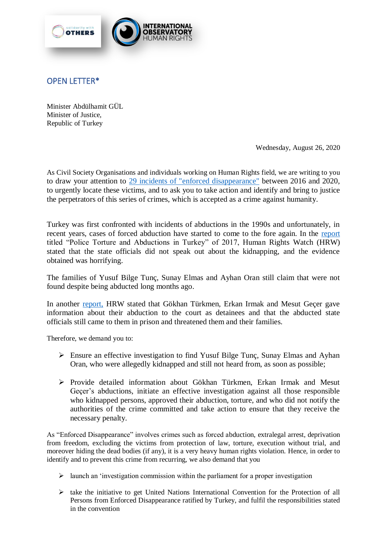

## OPEN LETTER\*

Minister Abdülhamit GÜL Minister of Justice, Republic of Turkey

Wednesday, August 26, 2020

As Civil Society Organisations and individuals working on Human Rights field, we are writing to you to draw your attention to 29 [incidents of "enforced disappearance"](https://www.evrensel.net/haber/405810/son-40-yilin-gozaltinda-kayiplar-raporu-dosyalarin-yuzde-63u-suruncemede-birakildi) between 2016 and 2020, to urgently locate these victims, and to ask you to take action and identify and bring to justice the perpetrators of this series of crimes, which is accepted as a crime against humanity.

Turkey was first confronted with incidents of abductions in the 1990s and unfortunately, in recent years, cases of forced abduction have started to come to the fore again. In the [report](https://www.hrw.org/report/2017/10/12/custody/police-torture-and-abductions-turkey) titled "Police Torture and Abductions in Turkey" of 2017, Human Rights Watch (HRW) stated that the state officials did not speak out about the kidnapping, and the evidence obtained was horrifying.

The families of Yusuf Bilge Tunç, Sunay Elmas and Ayhan Oran still claim that were not found despite being abducted long months ago.

In another [report,](https://www.hrw.org/news/2020/04/29/turkey-enforced-disappearances-torture) HRW stated that Gökhan Türkmen, Erkan Irmak and Mesut Geçer gave information about their abduction to the court as detainees and that the abducted state officials still came to them in prison and threatened them and their families.

Therefore, we demand you to:

- $\triangleright$  Ensure an effective investigation to find Yusuf Bilge Tunc, Sunay Elmas and Ayhan Oran, who were allegedly kidnapped and still not heard from, as soon as possible;
- Provide detailed information about Gökhan Türkmen, Erkan Irmak and Mesut Geçer's abductions, initiate an effective investigation against all those responsible who kidnapped persons, approved their abduction, torture, and who did not notify the authorities of the crime committed and take action to ensure that they receive the necessary penalty.

As "Enforced Disappearance" involves crimes such as forced abduction, extralegal arrest, deprivation from freedom, excluding the victims from protection of law, torture, execution without trial, and moreover hiding the dead bodies (if any), it is a very heavy human rights violation. Hence, in order to identify and to prevent this crime from recurring, we also demand that you

- $\triangleright$  launch an 'investigation commission within the parliament for a proper investigation
- $\triangleright$  take the initiative to get United Nations International Convention for the Protection of all Persons from Enforced Disappearance ratified by Turkey, and fulfil the responsibilities stated in the convention